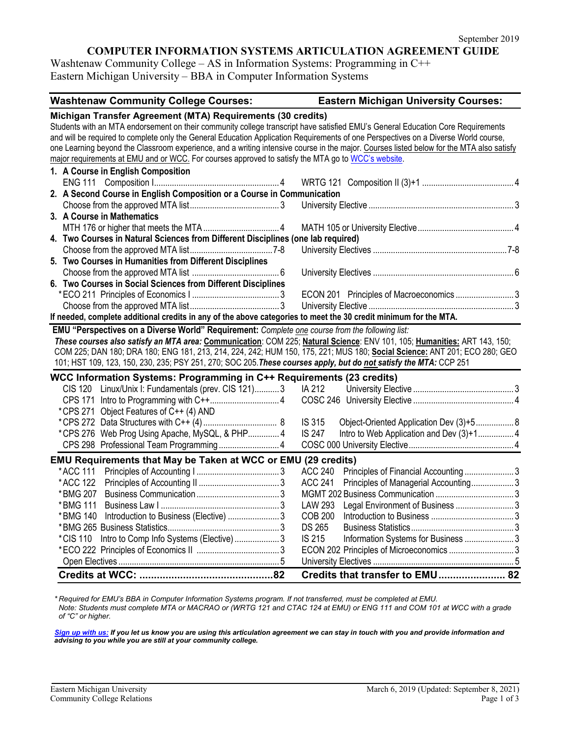## **COMPUTER INFORMATION SYSTEMS ARTICULATION AGREEMENT GUIDE**

Washtenaw Community College – AS in Information Systems: Programming in C++ Eastern Michigan University – BBA in Computer Information Systems

| <b>Washtenaw Community College Courses:</b>                                                                                              | <b>Eastern Michigan University Courses:</b>               |  |  |  |
|------------------------------------------------------------------------------------------------------------------------------------------|-----------------------------------------------------------|--|--|--|
| Michigan Transfer Agreement (MTA) Requirements (30 credits)                                                                              |                                                           |  |  |  |
| Students with an MTA endorsement on their community college transcript have satisfied EMU's General Education Core Requirements          |                                                           |  |  |  |
| and will be required to complete only the General Education Application Requirements of one Perspectives on a Diverse World course,      |                                                           |  |  |  |
| one Learning beyond the Classroom experience, and a writing intensive course in the major. Courses listed below for the MTA also satisfy |                                                           |  |  |  |
| major requirements at EMU and or WCC. For courses approved to satisfy the MTA go to WCC's website.                                       |                                                           |  |  |  |
| 1. A Course in English Composition                                                                                                       |                                                           |  |  |  |
|                                                                                                                                          |                                                           |  |  |  |
| 2. A Second Course in English Composition or a Course in Communication                                                                   |                                                           |  |  |  |
|                                                                                                                                          |                                                           |  |  |  |
| 3. A Course in Mathematics                                                                                                               |                                                           |  |  |  |
|                                                                                                                                          |                                                           |  |  |  |
| 4. Two Courses in Natural Sciences from Different Disciplines (one lab required)                                                         |                                                           |  |  |  |
|                                                                                                                                          |                                                           |  |  |  |
| 5. Two Courses in Humanities from Different Disciplines                                                                                  |                                                           |  |  |  |
|                                                                                                                                          |                                                           |  |  |  |
| 6. Two Courses in Social Sciences from Different Disciplines                                                                             |                                                           |  |  |  |
|                                                                                                                                          | ECON 201 Principles of Macroeconomics 3                   |  |  |  |
|                                                                                                                                          |                                                           |  |  |  |
| If needed, complete additional credits in any of the above categories to meet the 30 credit minimum for the MTA.                         |                                                           |  |  |  |
| EMU "Perspectives on a Diverse World" Requirement: Complete one course from the following list:                                          |                                                           |  |  |  |
| These courses also satisfy an MTA area: Communication: COM 225; Natural Science: ENV 101, 105; Humanities: ART 143, 150;                 |                                                           |  |  |  |
| COM 225; DAN 180; DRA 180; ENG 181, 213, 214, 224, 242; HUM 150, 175, 221; MUS 180; Social Science: ANT 201; ECO 280; GEO                |                                                           |  |  |  |
| 101; HST 109, 123, 150, 230, 235; PSY 251, 270; SOC 205. These courses apply, but do not satisfy the MTA: CCP 251                        |                                                           |  |  |  |
| WCC Information Systems: Programming in C++ Requirements (23 credits)                                                                    |                                                           |  |  |  |
| CIS 120 Linux/Unix I: Fundamentals (prev. CIS 121)3                                                                                      | IA 212                                                    |  |  |  |
|                                                                                                                                          |                                                           |  |  |  |
| *CPS 271 Object Features of C++ (4) AND                                                                                                  |                                                           |  |  |  |
|                                                                                                                                          | IS 315<br>Object-Oriented Application Dev (3)+5 8         |  |  |  |
| *CPS 276 Web Prog Using Apache, MySQL, & PHP 4                                                                                           | Intro to Web Application and Dev (3)+1 4<br><b>IS 247</b> |  |  |  |
| CPS 298 Professional Team Programming 4                                                                                                  |                                                           |  |  |  |
| EMU Requirements that May be Taken at WCC or EMU (29 credits)                                                                            |                                                           |  |  |  |
| *ACC 111                                                                                                                                 | <b>ACC 240</b><br>Principles of Financial Accounting3     |  |  |  |
| *ACC 122                                                                                                                                 | Principles of Managerial Accounting 3<br><b>ACC 241</b>   |  |  |  |
| *BMG 207                                                                                                                                 |                                                           |  |  |  |
| *BMG 111                                                                                                                                 | <b>LAW 293</b>                                            |  |  |  |
| * BMG 140                                                                                                                                | <b>COB 200</b>                                            |  |  |  |
|                                                                                                                                          | <b>DS 265</b>                                             |  |  |  |
| *CIS 110 Intro to Comp Info Systems (Elective)  3                                                                                        | IS 215<br>Information Systems for Business  3             |  |  |  |
|                                                                                                                                          | ECON 202 Principles of Microeconomics 3                   |  |  |  |
|                                                                                                                                          |                                                           |  |  |  |
|                                                                                                                                          |                                                           |  |  |  |
|                                                                                                                                          | Credits that transfer to EMU 82                           |  |  |  |

*\* Required for EMU's BBA in Computer Information Systems program. If not transferred, must be completed at EMU. Note: Students must complete MTA or MACRAO or (WRTG 121 and CTAC 124 at EMU) or ENG 111 and COM 101 at WCC with a grade of "C" or higher.*

*[Sign up with us:](https://www.emich.edu/ccr/articulation-agreements/signup.php) If you let us know you are using this articulation agreement we can stay in touch with you and provide information and advising to you while you are still at your community college.*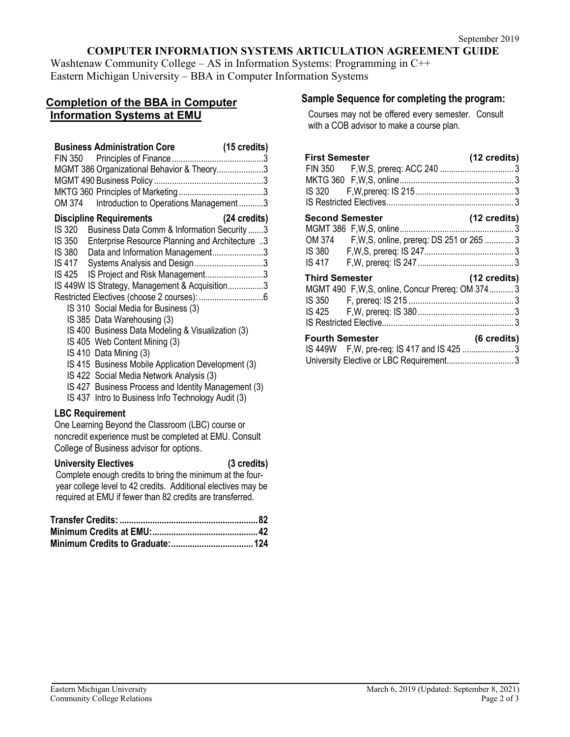# **COMPUTER INFORMATION SYSTEMS ARTICULATION AGREEMENT GUIDE**

Washtenaw Community College – AS in Information Systems: Programming in C++ Eastern Michigan University – BBA in Computer Information Systems

# **Completion of the BBA in Computer Information Systems at EMU**

| <b>Business Administration Core</b><br>(15 credits)<br>MGMT 386 Organizational Behavior & Theory3<br>Introduction to Operations Management3<br>OM 374                                                                                                                                                                                                                                                                                                                                                                                                                                                                                                                                                                                                       |  |
|-------------------------------------------------------------------------------------------------------------------------------------------------------------------------------------------------------------------------------------------------------------------------------------------------------------------------------------------------------------------------------------------------------------------------------------------------------------------------------------------------------------------------------------------------------------------------------------------------------------------------------------------------------------------------------------------------------------------------------------------------------------|--|
| (24 credits)<br><b>Discipline Requirements</b><br>Business Data Comm & Information Security 3<br>IS 320<br>IS 350<br>Enterprise Resource Planning and Architecture 3<br>IS 380 Data and Information Management3<br>IS 417 Systems Analysis and Design3<br>IS Project and Risk Management3<br>IS 425<br>IS 449W IS Strategy, Management & Acquisition3<br>IS 310 Social Media for Business (3)<br>IS 385 Data Warehousing (3)<br>IS 400 Business Data Modeling & Visualization (3)<br>IS 405 Web Content Mining (3)<br>IS 410 Data Mining (3)<br>IS 415 Business Mobile Application Development (3)<br>IS 422 Social Media Network Analysis (3)<br>IS 427 Business Process and Identity Management (3)<br>IS 437 Intro to Business Info Technology Audit (3) |  |
| <b>LBC Requirement</b><br>One Learning Beyond the Classroom (LBC) course or<br>noncredit experience must be completed at EMU. Consult<br>College of Business advisor for options.                                                                                                                                                                                                                                                                                                                                                                                                                                                                                                                                                                           |  |
| <b>University Electives</b><br>(3 credits)<br>Complete enough credits to bring the minimum at the four-<br>year college level to 42 credits. Additional electives may be<br>required at EMU if fewer than 82 credits are transferred.                                                                                                                                                                                                                                                                                                                                                                                                                                                                                                                       |  |
|                                                                                                                                                                                                                                                                                                                                                                                                                                                                                                                                                                                                                                                                                                                                                             |  |

**Minimum Credits to Graduate:...................................124**

# **Sample Sequence for completing the program:**

Courses may not be offered every semester. Consult with a COB advisor to make a course plan.

| <b>First Semester</b>  |                                                  | (12 credits)           |
|------------------------|--------------------------------------------------|------------------------|
|                        |                                                  |                        |
|                        |                                                  |                        |
|                        |                                                  |                        |
|                        |                                                  |                        |
| <b>Second Semester</b> |                                                  | (12 credits)           |
|                        |                                                  |                        |
|                        | OM 374 F, W, S, online, prereq: DS 251 or 265  3 |                        |
|                        |                                                  |                        |
|                        |                                                  |                        |
| <b>Third Semester</b>  |                                                  | $(12 \text{ credits})$ |
|                        | MGMT 490 F, W, S, online, Concur Prereq: OM 3743 |                        |
|                        |                                                  |                        |
|                        |                                                  |                        |
|                        |                                                  |                        |
| <b>Fourth Semester</b> |                                                  | (6 credits)            |
|                        | IS 449W F, W, pre-req: IS 417 and IS 425 3       |                        |
|                        | University Elective or LBC Requirement 3         |                        |